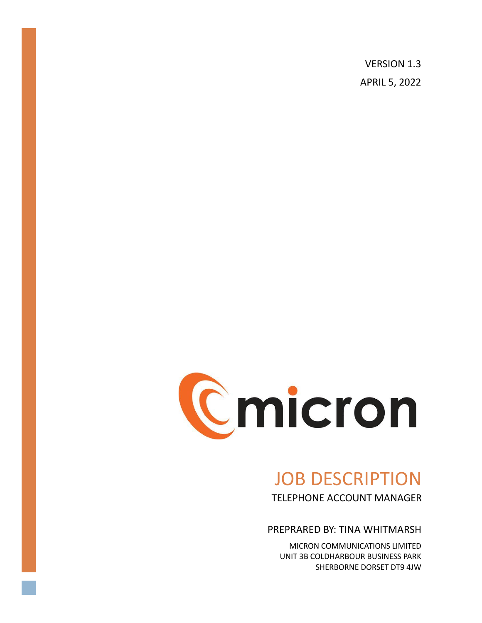VERSION 1.3 APRIL 5, 2022



# JOB DESCRIPTION TELEPHONE ACCOUNT MANAGER

PREPRARED BY: TINA WHITMARSH

MICRON COMMUNICATIONS LIMITED UNIT 3B COLDHARBOUR BUSINESS PARK SHERBORNE DORSET DT9 4JW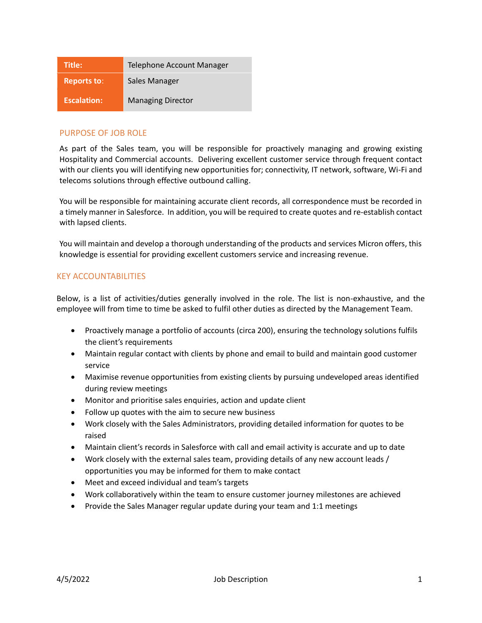| Title:             | Telephone Account Manager |
|--------------------|---------------------------|
| <b>Reports to:</b> | Sales Manager             |
| <b>Escalation:</b> | <b>Managing Director</b>  |

# PURPOSE OF JOB ROLE

As part of the Sales team, you will be responsible for proactively managing and growing existing Hospitality and Commercial accounts. Delivering excellent customer service through frequent contact with our clients you will identifying new opportunities for; connectivity, IT network, software, Wi-Fi and telecoms solutions through effective outbound calling.

You will be responsible for maintaining accurate client records, all correspondence must be recorded in a timely manner in Salesforce. In addition, you will be required to create quotes and re-establish contact with lapsed clients.

You will maintain and develop a thorough understanding of the products and services Micron offers, this knowledge is essential for providing excellent customers service and increasing revenue.

## KEY ACCOUNTABILITIES

Below, is a list of activities/duties generally involved in the role. The list is non-exhaustive, and the employee will from time to time be asked to fulfil other duties as directed by the Management Team.

- Proactively manage a portfolio of accounts (circa 200), ensuring the technology solutions fulfils the client's requirements
- Maintain regular contact with clients by phone and email to build and maintain good customer service
- Maximise revenue opportunities from existing clients by pursuing undeveloped areas identified during review meetings
- Monitor and prioritise sales enquiries, action and update client
- Follow up quotes with the aim to secure new business
- Work closely with the Sales Administrators, providing detailed information for quotes to be raised
- Maintain client's records in Salesforce with call and email activity is accurate and up to date
- Work closely with the external sales team, providing details of any new account leads / opportunities you may be informed for them to make contact
- Meet and exceed individual and team's targets
- Work collaboratively within the team to ensure customer journey milestones are achieved
- Provide the Sales Manager regular update during your team and 1:1 meetings